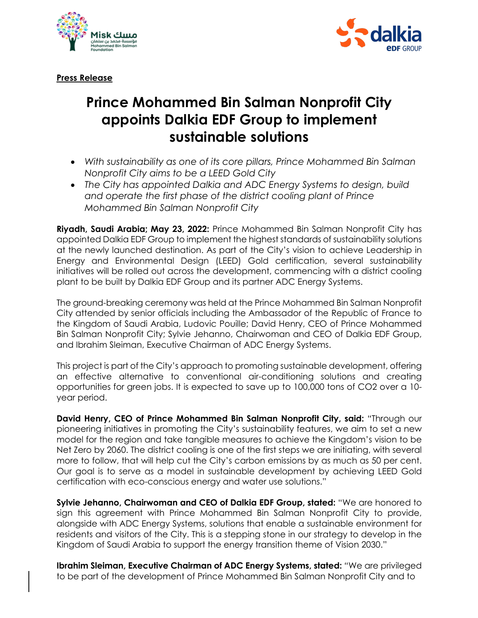



**Press Release**

# **Prince Mohammed Bin Salman Nonprofit City appoints Dalkia EDF Group to implement sustainable solutions**

- *With sustainability as one of its core pillars, Prince Mohammed Bin Salman Nonprofit City aims to be a LEED Gold City*
- *The City has appointed Dalkia and ADC Energy Systems to design, build and operate the first phase of the district cooling plant of Prince Mohammed Bin Salman Nonprofit City*

**Riyadh, Saudi Arabia; May 23, 2022:** Prince Mohammed Bin Salman Nonprofit City has appointed Dalkia EDF Group to implement the highest standards of sustainability solutions at the newly launched destination. As part of the City's vision to achieve Leadership in Energy and Environmental Design (LEED) Gold certification, several sustainability initiatives will be rolled out across the development, commencing with a district cooling plant to be built by Dalkia EDF Group and its partner ADC Energy Systems.

The ground-breaking ceremony was held at the Prince Mohammed Bin Salman Nonprofit City attended by senior officials including the Ambassador of the Republic of France to the Kingdom of Saudi Arabia, Ludovic Pouille; David Henry, CEO of Prince Mohammed Bin Salman Nonprofit City; Sylvie Jehanno, Chairwoman and CEO of Dalkia EDF Group, and Ibrahim Sleiman, Executive Chairman of ADC Energy Systems.

This project is part of the City's approach to promoting sustainable development, offering an effective alternative to conventional air-conditioning solutions and creating opportunities for green jobs. It is expected to save up to 100,000 tons of CO2 over a 10 year period.

**David Henry, CEO of Prince Mohammed Bin Salman Nonprofit City, said:** "Through our pioneering initiatives in promoting the City's sustainability features, we aim to set a new model for the region and take tangible measures to achieve the Kingdom's vision to be Net Zero by 2060. The district cooling is one of the first steps we are initiating, with several more to follow, that will help cut the City's carbon emissions by as much as 50 per cent. Our goal is to serve as a model in sustainable development by achieving LEED Gold certification with eco-conscious energy and water use solutions."

**Sylvie Jehanno, Chairwoman and CEO of Dalkia EDF Group, stated:** "We are honored to sign this agreement with Prince Mohammed Bin Salman Nonprofit City to provide, alongside with ADC Energy Systems, solutions that enable a sustainable environment for residents and visitors of the City. This is a stepping stone in our strategy to develop in the Kingdom of Saudi Arabia to support the energy transition theme of Vision 2030."

**Ibrahim Sleiman, Executive Chairman of ADC Energy Systems, stated:** *"*We are privileged to be part of the development of Prince Mohammed Bin Salman Nonprofit City and to